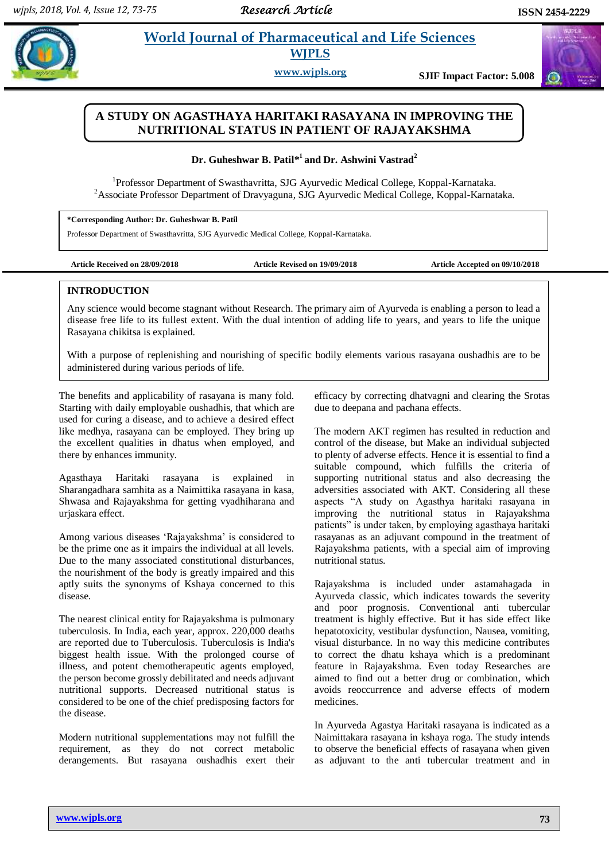# **Patill** *Et al. al. 21 World Journal of Pharmaceutical and Life Sciences* **WJPLS**

**www.wjpls.org SJIF Impact Factor: 5.008**

# **A STUDY ON AGASTHAYA HARITAKI RASAYANA IN IMPROVING THE NUTRITIONAL STATUS IN PATIENT OF RAJAYAKSHMA**

**Dr. Guheshwar B. Patil\* <sup>1</sup>and Dr. Ashwini Vastrad<sup>2</sup>**

<sup>1</sup>Professor Department of Swasthavritta, SJG Ayurvedic Medical College, Koppal-Karnataka. <sup>2</sup> Associate Professor Department of Dravyaguna, SJG Ayurvedic Medical College, Koppal-Karnataka.

**\*Corresponding Author: Dr. Guheshwar B. Patil**

Professor Department of Swasthavritta, SJG Ayurvedic Medical College, Koppal-Karnataka.

**Article Received on 28/09/2018 Article Revised on 19/09/2018 Article Accepted on 09/10/2018**

# **INTRODUCTION**

Any science would become stagnant without Research. The primary aim of Ayurveda is enabling a person to lead a disease free life to its fullest extent. With the dual intention of adding life to years, and years to life the unique Rasayana chikitsa is explained.

With a purpose of replenishing and nourishing of specific bodily elements various rasayana oushadhis are to be administered during various periods of life.

The benefits and applicability of rasayana is many fold. Starting with daily employable oushadhis, that which are used for curing a disease, and to achieve a desired effect like medhya, rasayana can be employed. They bring up the excellent qualities in dhatus when employed, and there by enhances immunity.

Agasthaya Haritaki rasayana is explained in Sharangadhara samhita as a Naimittika rasayana in kasa, Shwasa and Rajayakshma for getting vyadhiharana and urjaskara effect.

Among various diseases "Rajayakshma" is considered to be the prime one as it impairs the individual at all levels. Due to the many associated constitutional disturbances, the nourishment of the body is greatly impaired and this aptly suits the synonyms of Kshaya concerned to this disease.

The nearest clinical entity for Rajayakshma is pulmonary tuberculosis. In India, each year, approx. 220,000 deaths are reported due to Tuberculosis. Tuberculosis is India's biggest health issue. With the prolonged course of illness, and potent chemotherapeutic agents employed, the person become grossly debilitated and needs adjuvant nutritional supports. Decreased nutritional status is considered to be one of the chief predisposing factors for the disease.

Modern nutritional supplementations may not fulfill the requirement, as they do not correct metabolic derangements. But rasayana oushadhis exert their efficacy by correcting dhatvagni and clearing the Srotas due to deepana and pachana effects.

The modern AKT regimen has resulted in reduction and control of the disease, but Make an individual subjected to plenty of adverse effects. Hence it is essential to find a suitable compound, which fulfills the criteria of supporting nutritional status and also decreasing the adversities associated with AKT. Considering all these aspects "A study on Agasthya haritaki rasayana in improving the nutritional status in Rajayakshma patients" is under taken, by employing agasthaya haritaki rasayanas as an adjuvant compound in the treatment of Rajayakshma patients, with a special aim of improving nutritional status.

Rajayakshma is included under astamahagada in Ayurveda classic, which indicates towards the severity and poor prognosis. Conventional anti tubercular treatment is highly effective. But it has side effect like hepatotoxicity, vestibular dysfunction, Nausea, vomiting, visual disturbance. In no way this medicine contributes to correct the dhatu kshaya which is a predominant feature in Rajayakshma. Even today Researches are aimed to find out a better drug or combination, which avoids reoccurrence and adverse effects of modern medicines.

In Ayurveda Agastya Haritaki rasayana is indicated as a Naimittakara rasayana in kshaya roga. The study intends to observe the beneficial effects of rasayana when given as adjuvant to the anti tubercular treatment and in



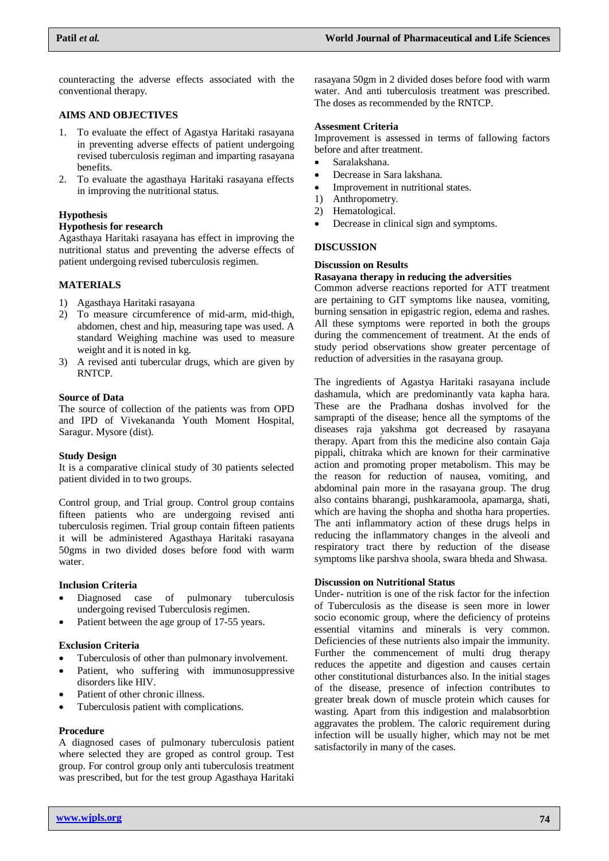counteracting the adverse effects associated with the conventional therapy.

### **AIMS AND OBJECTIVES**

- 1. To evaluate the effect of Agastya Haritaki rasayana in preventing adverse effects of patient undergoing revised tuberculosis regiman and imparting rasayana benefits.
- 2. To evaluate the agasthaya Haritaki rasayana effects in improving the nutritional status.

# **Hypothesis**

#### **Hypothesis for research**

Agasthaya Haritaki rasayana has effect in improving the nutritional status and preventing the adverse effects of patient undergoing revised tuberculosis regimen.

# **MATERIALS**

- 1) Agasthaya Haritaki rasayana
- 2) To measure circumference of mid-arm, mid-thigh, abdomen, chest and hip, measuring tape was used. A standard Weighing machine was used to measure weight and it is noted in kg.
- 3) A revised anti tubercular drugs, which are given by RNTCP.

#### **Source of Data**

The source of collection of the patients was from OPD and IPD of Vivekananda Youth Moment Hospital, Saragur. Mysore (dist).

#### **Study Design**

It is a comparative clinical study of 30 patients selected patient divided in to two groups.

Control group, and Trial group. Control group contains fifteen patients who are undergoing revised anti tuberculosis regimen. Trial group contain fifteen patients it will be administered Agasthaya Haritaki rasayana 50gms in two divided doses before food with warm water.

#### **Inclusion Criteria**

- Diagnosed case of pulmonary tuberculosis undergoing revised Tuberculosis regimen.
- Patient between the age group of 17-55 years.

# **Exclusion Criteria**

- Tuberculosis of other than pulmonary involvement.
- Patient, who suffering with immunosuppressive disorders like HIV.
- Patient of other chronic illness.
- Tuberculosis patient with complications.

#### **Procedure**

A diagnosed cases of pulmonary tuberculosis patient where selected they are groped as control group. Test group. For control group only anti tuberculosis treatment was prescribed, but for the test group Agasthaya Haritaki

rasayana 50gm in 2 divided doses before food with warm water. And anti tuberculosis treatment was prescribed. The doses as recommended by the RNTCP.

#### **Assesment Criteria**

Improvement is assessed in terms of fallowing factors before and after treatment.

- Saralakshana.
- Decrease in Sara lakshana.
- Improvement in nutritional states.
- 1) Anthropometry.
- 2) Hematological.
- Decrease in clinical sign and symptoms.

#### **DISCUSSION**

#### **Discussion on Results**

# **Rasayana therapy in reducing the adversities**

Common adverse reactions reported for ATT treatment are pertaining to GIT symptoms like nausea, vomiting, burning sensation in epigastric region, edema and rashes. All these symptoms were reported in both the groups during the commencement of treatment. At the ends of study period observations show greater percentage of reduction of adversities in the rasayana group.

The ingredients of Agastya Haritaki rasayana include dashamula, which are predominantly vata kapha hara. These are the Pradhana doshas involved for the samprapti of the disease; hence all the symptoms of the diseases raja yakshma got decreased by rasayana therapy. Apart from this the medicine also contain Gaja pippali, chitraka which are known for their carminative action and promoting proper metabolism. This may be the reason for reduction of nausea, vomiting, and abdominal pain more in the rasayana group. The drug also contains bharangi, pushkaramoola, apamarga, shati, which are having the shopha and shotha hara properties. The anti inflammatory action of these drugs helps in reducing the inflammatory changes in the alveoli and respiratory tract there by reduction of the disease symptoms like parshva shoola, swara bheda and Shwasa.

#### **Discussion on Nutritional Status**

Under- nutrition is one of the risk factor for the infection of Tuberculosis as the disease is seen more in lower socio economic group, where the deficiency of proteins essential vitamins and minerals is very common. Deficiencies of these nutrients also impair the immunity. Further the commencement of multi drug therapy reduces the appetite and digestion and causes certain other constitutional disturbances also. In the initial stages of the disease, presence of infection contributes to greater break down of muscle protein which causes for wasting. Apart from this indigestion and malabsorbtion aggravates the problem. The caloric requirement during infection will be usually higher, which may not be met satisfactorily in many of the cases.